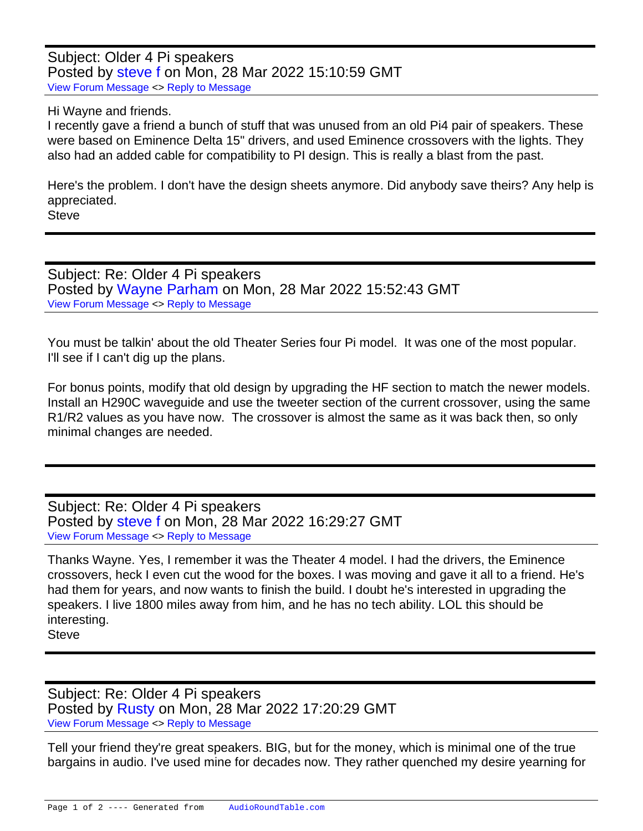Subject: Older 4 Pi speakers Posted by [steve f](https://audioroundtable.com/forum/index.php?t=usrinfo&id=168) on Mon, 28 Mar 2022 15:10:59 GMT [View Forum Message](https://audioroundtable.com/forum/index.php?t=rview&th=23406&goto=95450#msg_95450) <> [Reply to Message](https://audioroundtable.com/forum/index.php?t=post&reply_to=95450)

Hi Wayne and friends.

I recently gave a friend a bunch of stuff that was unused from an old Pi4 pair of speakers. These were based on Eminence Delta 15" drivers, and used Eminence crossovers with the lights. They also had an added cable for compatibility to PI design. This is really a blast from the past.

Here's the problem. I don't have the design sheets anymore. Did anybody save theirs? Any help is appreciated.

**Steve** 

Subject: Re: Older 4 Pi speakers Posted by [Wayne Parham](https://audioroundtable.com/forum/index.php?t=usrinfo&id=5) on Mon, 28 Mar 2022 15:52:43 GMT [View Forum Message](https://audioroundtable.com/forum/index.php?t=rview&th=23406&goto=95451#msg_95451) <> [Reply to Message](https://audioroundtable.com/forum/index.php?t=post&reply_to=95451)

You must be talkin' about the old Theater Series four Pi model. It was one of the most popular. I'll see if I can't dig up the plans.

For bonus points, modify that old design by upgrading the HF section to match the newer models. Install an H290C waveguide and use the tweeter section of the current crossover, using the same R1/R2 values as you have now. The crossover is almost the same as it was back then, so only minimal changes are needed.

Subject: Re: Older 4 Pi speakers Posted by [steve f](https://audioroundtable.com/forum/index.php?t=usrinfo&id=168) on Mon, 28 Mar 2022 16:29:27 GMT [View Forum Message](https://audioroundtable.com/forum/index.php?t=rview&th=23406&goto=95452#msg_95452) <> [Reply to Message](https://audioroundtable.com/forum/index.php?t=post&reply_to=95452)

Thanks Wayne. Yes, I remember it was the Theater 4 model. I had the drivers, the Eminence crossovers, heck I even cut the wood for the boxes. I was moving and gave it all to a friend. He's had them for years, and now wants to finish the build. I doubt he's interested in upgrading the speakers. I live 1800 miles away from him, and he has no tech ability. LOL this should be interesting. **Steve** 

Subject: Re: Older 4 Pi speakers Posted by [Rusty](https://audioroundtable.com/forum/index.php?t=usrinfo&id=8363) on Mon, 28 Mar 2022 17:20:29 GMT [View Forum Message](https://audioroundtable.com/forum/index.php?t=rview&th=23406&goto=95453#msg_95453) <> [Reply to Message](https://audioroundtable.com/forum/index.php?t=post&reply_to=95453)

Tell your friend they're great speakers. BIG, but for the money, which is minimal one of the true bargains in audio. I've used mine for decades now. They rather quenched my desire yearning for